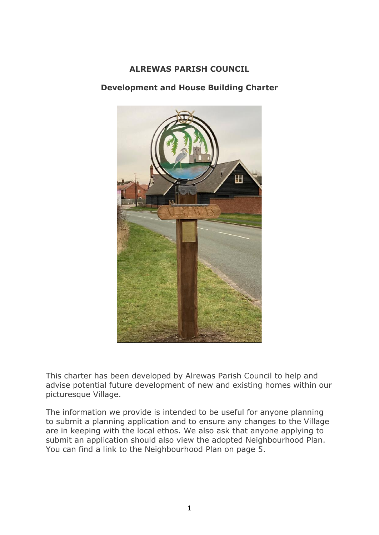#### **ALREWAS PARISH COUNCIL**

## **Development and House Building Charter**



This charter has been developed by Alrewas Parish Council to help and advise potential future development of new and existing homes within our picturesque Village.

The information we provide is intended to be useful for anyone planning to submit a planning application and to ensure any changes to the Village are in keeping with the local ethos. We also ask that anyone applying to submit an application should also view the adopted Neighbourhood Plan. You can find a link to the Neighbourhood Plan on page 5.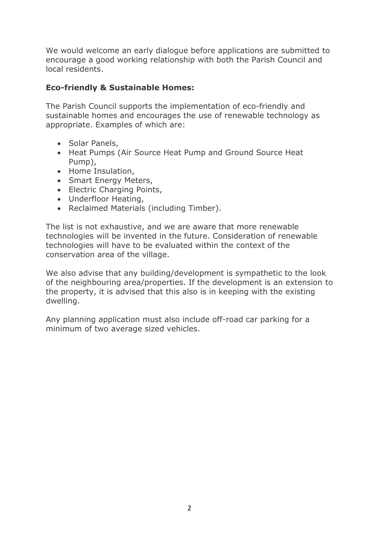We would welcome an early dialogue before applications are submitted to encourage a good working relationship with both the Parish Council and local residents.

# **Eco-friendly & Sustainable Homes:**

The Parish Council supports the implementation of eco-friendly and sustainable homes and encourages the use of renewable technology as appropriate. Examples of which are:

- Solar Panels,
- Heat Pumps (Air Source Heat Pump and Ground Source Heat Pump),
- Home Insulation,
- Smart Energy Meters,
- Electric Charging Points,
- Underfloor Heating,
- Reclaimed Materials (including Timber).

The list is not exhaustive, and we are aware that more renewable technologies will be invented in the future. Consideration of renewable technologies will have to be evaluated within the context of the conservation area of the village.

We also advise that any building/development is sympathetic to the look of the neighbouring area/properties. If the development is an extension to the property, it is advised that this also is in keeping with the existing dwelling.

Any planning application must also include off-road car parking for a minimum of two average sized vehicles.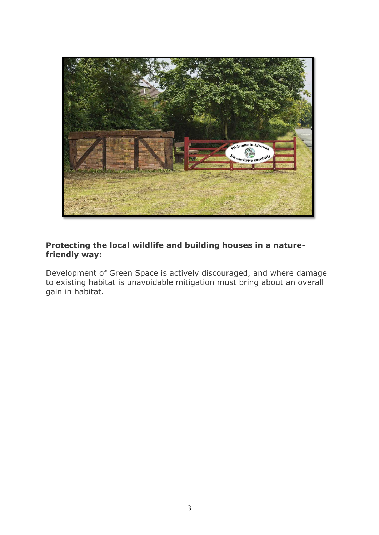

#### **Protecting the local wildlife and building houses in a naturefriendly way:**

Development of Green Space is actively discouraged, and where damage to existing habitat is unavoidable mitigation must bring about an overall gain in habitat.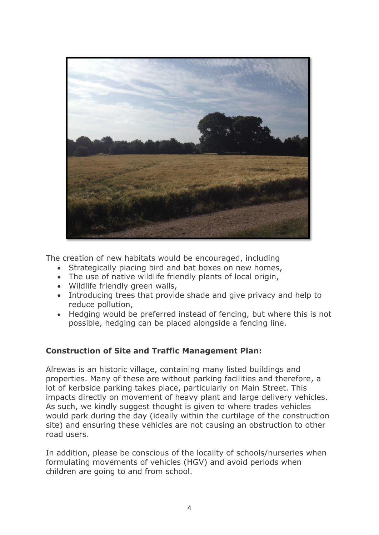

The creation of new habitats would be encouraged, including

- Strategically placing bird and bat boxes on new homes,
- The use of native wildlife friendly plants of local origin,
- Wildlife friendly green walls,
- Introducing trees that provide shade and give privacy and help to reduce pollution,
- Hedging would be preferred instead of fencing, but where this is not possible, hedging can be placed alongside a fencing line.

## **Construction of Site and Traffic Management Plan:**

Alrewas is an historic village, containing many listed buildings and properties. Many of these are without parking facilities and therefore, a lot of kerbside parking takes place, particularly on Main Street. This impacts directly on movement of heavy plant and large delivery vehicles. As such, we kindly suggest thought is given to where trades vehicles would park during the day (ideally within the curtilage of the construction site) and ensuring these vehicles are not causing an obstruction to other road users.

In addition, please be conscious of the locality of schools/nurseries when formulating movements of vehicles (HGV) and avoid periods when children are going to and from school.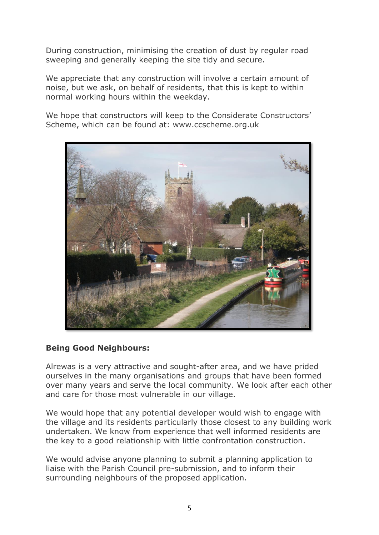During construction, minimising the creation of dust by regular road sweeping and generally keeping the site tidy and secure.

We appreciate that any construction will involve a certain amount of noise, but we ask, on behalf of residents, that this is kept to within normal working hours within the weekday.

We hope that constructors will keep to the Considerate Constructors' Scheme, which can be found at: www.ccscheme.org.uk



## **Being Good Neighbours:**

Alrewas is a very attractive and sought-after area, and we have prided ourselves in the many organisations and groups that have been formed over many years and serve the local community. We look after each other and care for those most vulnerable in our village.

We would hope that any potential developer would wish to engage with the village and its residents particularly those closest to any building work undertaken. We know from experience that well informed residents are the key to a good relationship with little confrontation construction.

We would advise anyone planning to submit a planning application to liaise with the Parish Council pre-submission, and to inform their surrounding neighbours of the proposed application.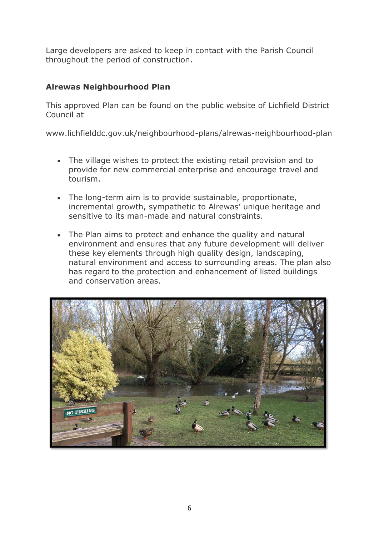Large developers are asked to keep in contact with the Parish Council throughout the period of construction.

# **Alrewas Neighbourhood Plan**

This approved Plan can be found on the public website of Lichfield District Council at

www.lichfielddc.gov.uk/neighbourhood-plans/alrewas-neighbourhood-plan

- The village wishes to protect the existing retail provision and to provide for new commercial enterprise and encourage travel and tourism.
- The long-term aim is to provide sustainable, proportionate, incremental growth, sympathetic to Alrewas' unique heritage and sensitive to its man-made and natural constraints.
- The Plan aims to protect and enhance the quality and natural environment and ensures that any future development will deliver these key elements through high quality design, landscaping, natural environment and access to surrounding areas. The plan also has regard to the protection and enhancement of listed buildings and conservation areas.